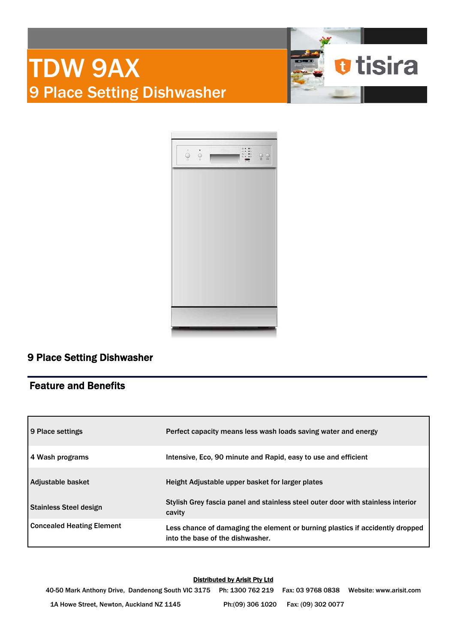



# 9 Place Setting Dishwasher

### Feature and Benefits

| 9 Place settings                 | Perfect capacity means less wash loads saving water and energy                                                    |
|----------------------------------|-------------------------------------------------------------------------------------------------------------------|
| 4 Wash programs                  | Intensive, Eco. 90 minute and Rapid, easy to use and efficient                                                    |
| Adjustable basket                | Height Adjustable upper basket for larger plates                                                                  |
| <b>Stainless Steel design</b>    | Stylish Grey fascia panel and stainless steel outer door with stainless interior<br>cavity                        |
| <b>Concealed Heating Element</b> | Less chance of damaging the element or burning plastics if accidently dropped<br>into the base of the dishwasher. |

### Distributed by Arisit Pty Ltd

40-50 Mark Anthony Drive, Dandenong South VIC 3175 Ph: 1300 762 219 Fax: 03 9768 0838 Website: www.arisit.com 1A Howe Street, Newton, Auckland NZ 1145 Ph:(09) 306 1020 Fax: (09) 302 0077